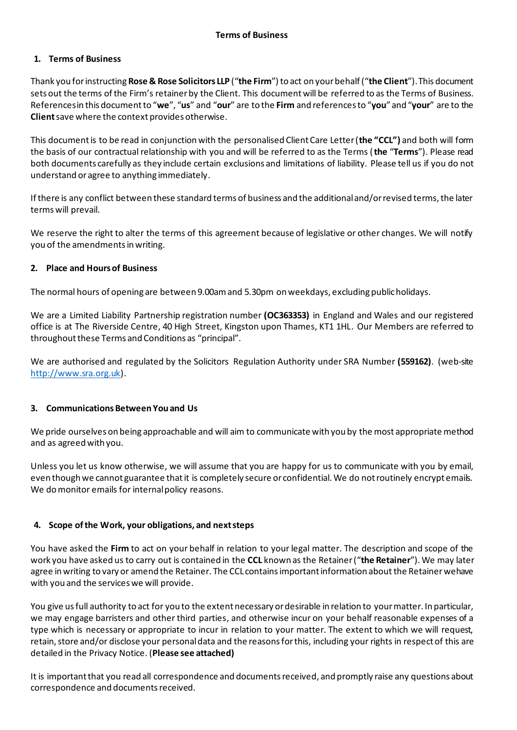# **1. Terms of Business**

Thank you for instructing **Rose & Rose Solicitors LLP** ("**the Firm**") to act on your behalf ("**the Client**"). This document sets out the terms of the Firm's retainer by the Client. This document will be referred to as the Terms of Business. References in this document to "**we**", "**us**" and "**our**" are to the **Firm** and references to "**you**" and "**your**" are to the **Client**save where the context provides otherwise.

This document is to be read in conjunction with the personalised Client Care Letter (**the "CCL")** and both will form the basis of our contractual relationship with you and will be referred to as the Terms (**the** "**Terms**"). Please read both documents carefully as they include certain exclusions and limitations of liability. Please tell us if you do not understand or agree to anything immediately.

If there is any conflict between these standard terms of business and the additional and/or revised terms, the later terms will prevail.

We reserve the right to alter the terms of this agreement because of legislative or other changes. We will notify you of the amendments in writing.

### **2. Place and Hours of Business**

The normal hours of opening are between 9.00am and 5.30pm on weekdays, excluding public holidays.

We are a Limited Liability Partnership registration number **(OC363353)** in England and Wales and our registered office is at The Riverside Centre, 40 High Street, Kingston upon Thames, KT1 1HL. Our Members are referred to throughout these Terms and Conditions as "principal".

We are authorised and regulated by the Solicitors Regulation Authority under SRA Number **(559162)**. (web-site [http://www.sra.org.uk\)](http://www.sra.org.uk/).

#### **3. Communications Between You and Us**

We pride ourselves on being approachable and will aim to communicate with you by the most appropriate method and as agreed with you.

Unless you let us know otherwise, we will assume that you are happy for us to communicate with you by email, even though we cannot guarantee that it is completely secure or confidential. We do not routinely encrypt emails. We do monitor emails for internal policy reasons.

#### **4. Scope of the Work, your obligations, and next steps**

You have asked the **Firm** to act on your behalf in relation to your legal matter. The description and scope of the work you have asked us to carry out is contained in the **CCL** known as the Retainer ("**the Retainer**"). We may later agree in writing to vary or amend the Retainer. The CCL contains important information about the Retainer wehave with you and the services we will provide.

You give us full authority to act for you to the extent necessary or desirable in relation to your matter. In particular, we may engage barristers and other third parties, and otherwise incur on your behalf reasonable expenses of a type which is necessary or appropriate to incur in relation to your matter. The extent to which we will request, retain, store and/or disclose your personal data and the reasons for this, including your rights in respect of this are detailed in the Privacy Notice. (**Please see attached)**

It is important that you read all correspondence and documents received, and promptly raise any questions about correspondence and documents received.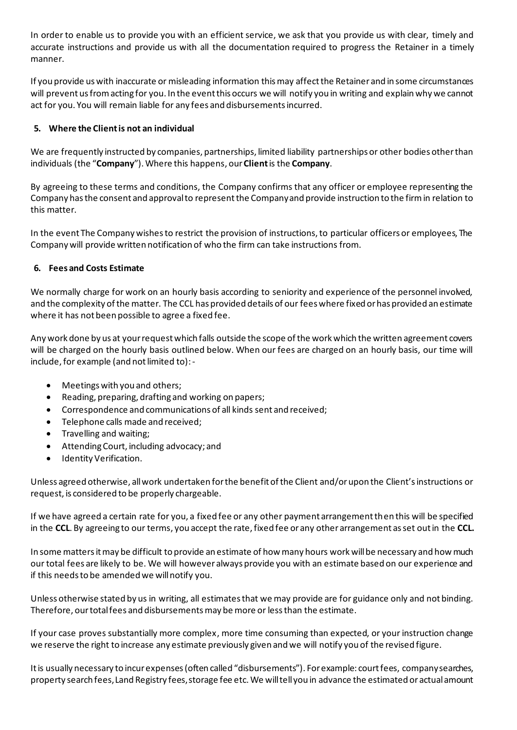In order to enable us to provide you with an efficient service, we ask that you provide us with clear, timely and accurate instructions and provide us with all the documentation required to progress the Retainer in a timely manner.

If you provide us with inaccurate or misleading information this may affect the Retainer and in some circumstances will prevent us from acting for you. In the event this occurs we will notify you in writing and explain why we cannot act for you. You will remain liable for any fees and disbursements incurred.

# **5. Where the Client is not an individual**

We are frequently instructed by companies, partnerships, limited liability partnerships or other bodies other than individuals (the "**Company**"). Where this happens, our **Client**is the **Company**.

By agreeing to these terms and conditions, the Company confirms that any officer or employee representing the Company has the consent and approval to represent the Company and provide instruction to the firm in relation to this matter.

In the event The Company wishes to restrict the provision of instructions, to particular officers or employees, The Company will provide written notification of who the firm can take instructions from.

# **6. Fees and Costs Estimate**

We normally charge for work on an hourly basis according to seniority and experience of the personnel involved, and the complexity of the matter. The CCL has provided details of our fees where fixed or has provided an estimate where it has not been possible to agree a fixed fee.

Any work done by us at your request which falls outside the scope of the work which the written agreement covers will be charged on the hourly basis outlined below. When our fees are charged on an hourly basis, our time will include, for example (and not limited to): -

- Meetings with you and others;
- Reading, preparing, drafting and working on papers;
- Correspondence and communications of all kinds sent and received;
- Telephone calls made and received;
- Travelling and waiting;
- Attending Court, including advocacy; and
- Identity Verification.

Unless agreed otherwise, all work undertaken for the benefit of the Client and/or upon the Client's instructions or request, is considered to be properly chargeable.

If we have agreed a certain rate for you, a fixed fee or any other payment arrangement then this will be specified in the **CCL**. By agreeing to our terms, you accept the rate, fixed fee or any other arrangement as set out in the **CCL.**

In some mattersit may be difficult to provide an estimate of how many hours work will be necessary and how much our total fees are likely to be. We will however always provide you with an estimate based on our experience and if this needs to be amended we will notify you.

Unless otherwise stated by us in writing, all estimates that we may provide are for guidance only and not binding. Therefore, our total fees and disbursements may be more or less than the estimate.

If your case proves substantially more complex, more time consuming than expected, or your instruction change we reserve the right to increase any estimate previously given and we will notify you of the revised figure.

It is usually necessary to incur expenses (often called "disbursements"). For example: court fees, company searches, property search fees, Land Registry fees, storage fee etc. We will tell you in advance the estimated or actual amount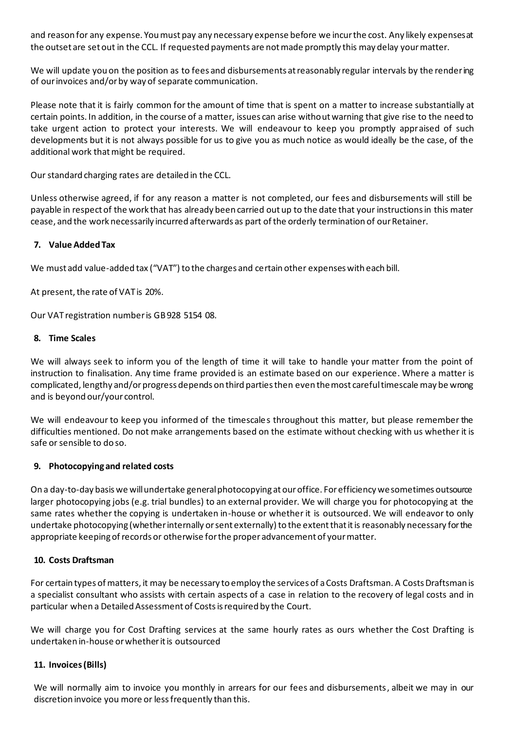and reason for any expense. You must pay any necessary expense before we incur the cost. Any likely expenses at the outset are set out in the CCL. If requested payments are not made promptly this may delay your matter.

We will update you on the position as to fees and disbursements at reasonably regular intervals by the rendering of our invoices and/or by way of separate communication.

Please note that it is fairly common for the amount of time that is spent on a matter to increase substantially at certain points. In addition, in the course of a matter, issues can arise without warning that give rise to the need to take urgent action to protect your interests. We will endeavour to keep you promptly appraised of such developments but it is not always possible for us to give you as much notice as would ideally be the case, of the additional work that might be required.

Our standard charging rates are detailed in the CCL.

Unless otherwise agreed, if for any reason a matter is not completed, our fees and disbursements will still be payable in respect of the work that has already been carried out up to the date that your instructions in this mater cease, and the work necessarily incurred afterwards as part of the orderly termination of our Retainer.

### **7. Value Added Tax**

We must add value-added tax ("VAT") to the charges and certain other expenses with each bill.

At present, the rate of VAT is 20%.

Our VAT registration number is GB 928 5154 08.

#### **8. Time Scales**

We will always seek to inform you of the length of time it will take to handle your matter from the point of instruction to finalisation. Any time frame provided is an estimate based on our experience. Where a matter is complicated, lengthy and/or progress depends on third parties then even the most careful timescale may be wrong and is beyond our/your control.

We will endeavour to keep you informed of the timescales throughout this matter, but please remember the difficulties mentioned. Do not make arrangements based on the estimate without checking with us whether it is safe or sensible to do so.

#### **9. Photocopying and related costs**

On a day-to-day basis we will undertake general photocopying at our office. For efficiency we sometimes outsource larger photocopying jobs (e.g. trial bundles) to an external provider. We will charge you for photocopying at the same rates whether the copying is undertaken in-house or whether it is outsourced. We will endeavor to only undertake photocopying (whether internally or sent externally) to the extent that it is reasonably necessary for the appropriate keeping of records or otherwise for the proper advancement of your matter.

#### **10. Costs Draftsman**

For certain types of matters, it may be necessary to employ the services of a Costs Draftsman. A Costs Draftsman is a specialist consultant who assists with certain aspects of a case in relation to the recovery of legal costs and in particular when a Detailed Assessment of Costs is required by the Court.

We will charge you for Cost Drafting services at the same hourly rates as ours whether the Cost Drafting is undertaken in-house or whether it is outsourced

#### **11. Invoices(Bills)**

We will normally aim to invoice you monthly in arrears for our fees and disbursements, albeit we may in our discretion invoice you more or less frequently than this.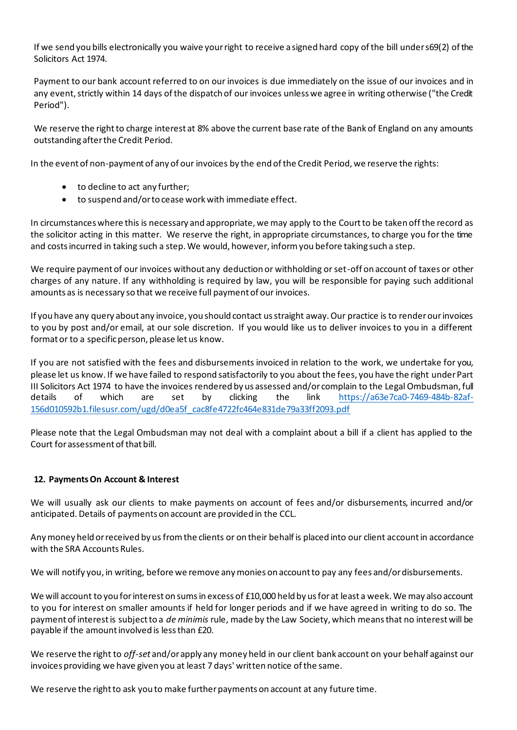If we send you bills electronically you waive your right to receive a signed hard copy of the bill under s69(2) of the Solicitors Act 1974.

Payment to our bank account referred to on our invoices is due immediately on the issue of our invoices and in any event, strictly within 14 days of the dispatch of our invoices unless we agree in writing otherwise ("the Credit Period").

We reserve the right to charge interest at 8% above the current base rate of the Bank of England on any amounts outstanding after the Credit Period.

In the event of non-payment of any of our invoices by the end of the Credit Period, we reserve the rights:

- to decline to act any further;
- to suspend and/or to cease work with immediate effect.

In circumstances where this is necessary and appropriate, we may apply to the Court to be taken off the record as the solicitor acting in this matter. We reserve the right, in appropriate circumstances, to charge you for the time and costs incurred in taking such a step. We would, however, inform you before taking such a step.

We require payment of our invoices without any deduction or withholding or set-off on account of taxes or other charges of any nature. If any withholding is required by law, you will be responsible for paying such additional amounts as is necessary so that we receive full payment of our invoices.

If you have any query about any invoice, you should contact us straight away. Our practice is to render our invoices to you by post and/or email, at our sole discretion. If you would like us to deliver invoices to you in a different format or to a specific person, please let us know.

If you are not satisfied with the fees and disbursements invoiced in relation to the work, we undertake for you, please let us know. If we have failed to respond satisfactorily to you about the fees, you have the right under Part III Solicitors Act 1974 to have the invoices rendered by us assessed and/or complain to the Legal Ombudsman, full details of which are set by clicking the link [https://a63e7ca0-7469-484b-82af-](https://a63e7ca0-7469-484b-82af-156d010592b1.filesusr.com/ugd/d0ea5f_cac8fe4722fc464e831de79a33ff2093.pdf)[156d010592b1.filesusr.com/ugd/d0ea5f\\_cac8fe4722fc464e831de79a33ff2093.pdf](https://a63e7ca0-7469-484b-82af-156d010592b1.filesusr.com/ugd/d0ea5f_cac8fe4722fc464e831de79a33ff2093.pdf)

Please note that the Legal Ombudsman may not deal with a complaint about a bill if a client has applied to the Court for assessment of that bill.

# **12. PaymentsOn Account & Interest**

We will usually ask our clients to make payments on account of fees and/or disbursements, incurred and/or anticipated. Details of payments on account are provided in the CCL.

Any money held or received by us from the clients or on their behalf is placed into our client account in accordance with the SRA Accounts Rules.

We will notify you, in writing, before we remove any monies on account to pay any fees and/or disbursements.

We will account to you for interest on sums in excess of £10,000 held by us for at least a week. We may also account to you for interest on smaller amounts if held for longer periods and if we have agreed in writing to do so. The payment of interest is subject to a *de minimis* rule, made by the Law Society, which means that no interest will be payable if the amount involved is less than £20.

We reserve the right to *off-set* and/or apply any money held in our client bank account on your behalf against our invoices providing we have given you at least 7 days' written notice of the same.

We reserve the right to ask you to make further payments on account at any future time.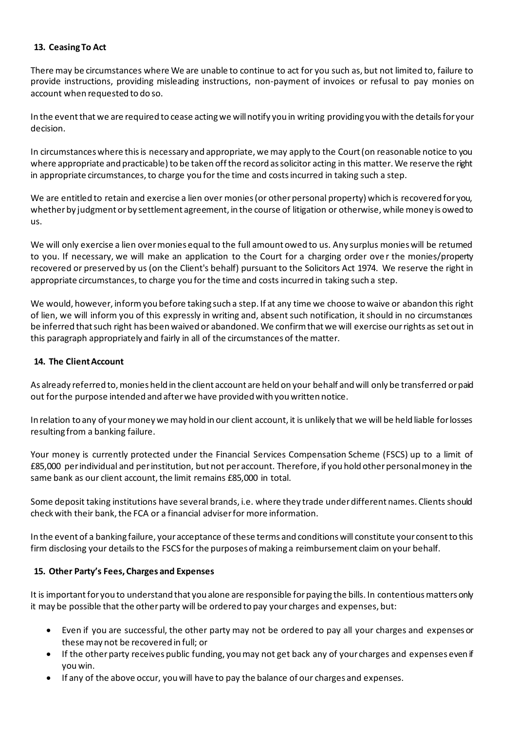# **13. Ceasing To Act**

There may be circumstances where We are unable to continue to act for you such as, but not limited to, failure to provide instructions, providing misleading instructions, non-payment of invoices or refusal to pay monies on account when requested to do so.

In the event that we are required to cease acting we will notify you in writing providing you with the details for your decision.

In circumstances where this is necessary and appropriate, we may apply to the Court (on reasonable notice to you where appropriate and practicable) to be taken off the record as solicitor acting in this matter. We reserve the right in appropriate circumstances, to charge you for the time and costs incurred in taking such a step.

We are entitled to retain and exercise a lien over monies (or other personal property) which is recovered for you, whether by judgment or by settlement agreement, in the course of litigation or otherwise, while money is owed to us.

We will only exercise a lien over monies equal to the full amount owed to us. Any surplus monies will be returned to you. If necessary, we will make an application to the Court for a charging order ove r the monies/property recovered or preserved by us (on the Client's behalf) pursuant to the Solicitors Act 1974. We reserve the right in appropriate circumstances, to charge you for the time and costs incurred in taking such a step.

We would, however, inform you before taking such a step. If at any time we choose to waive or abandon this right of lien, we will inform you of this expressly in writing and, absent such notification, it should in no circumstances be inferred that such right has been waived or abandoned. We confirm that we will exercise our rights as set out in this paragraph appropriately and fairly in all of the circumstances of the matter.

### **14. The Client Account**

As already referred to, monies held in the client account are held on your behalf and will only be transferred or paid out for the purpose intended and after we have provided with you written notice.

In relation to any of your money we may hold in our client account, it is unlikely that we will be held liable for losses resulting from a banking failure.

Your money is currently protected under the Financial Services Compensation Scheme (FSCS) up to a limit of £85,000 per individual and per institution, but not per account. Therefore, if you hold other personal money in the same bank as our client account, the limit remains £85,000 in total.

Some deposit taking institutions have several brands, i.e. where they trade under different names. Clients should check with their bank, the FCA or a financial adviser for more information.

In the event of a banking failure, your acceptance of these terms and conditions will constitute your consent to this firm disclosing your details to the FSCS for the purposes of making a reimbursement claim on your behalf.

# **15. Other Party's Fees, Charges and Expenses**

It is important for you to understand that you alone are responsible for paying the bills. In contentious matters only it may be possible that the other party will be ordered to pay your charges and expenses, but:

- Even if you are successful, the other party may not be ordered to pay all your charges and expenses or these may not be recovered in full; or
- If the other party receives public funding, you may not get back any of your charges and expenses even if you win.
- If any of the above occur, you will have to pay the balance of our charges and expenses.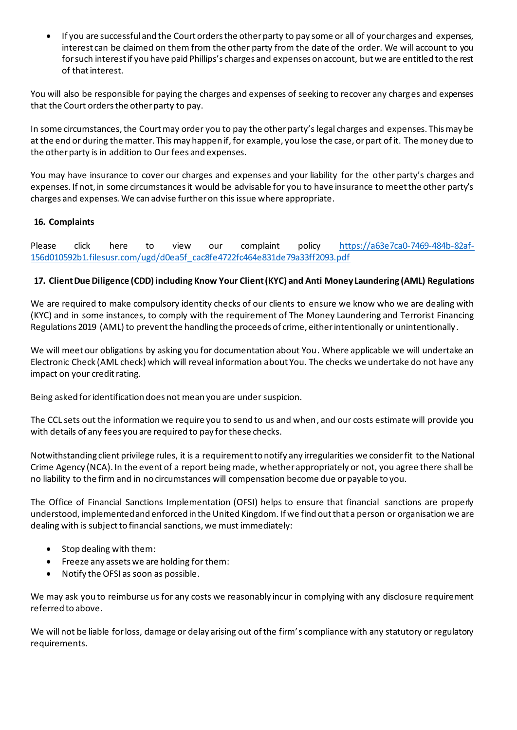• If you are successful and the Court orders the other party to pay some or all of your charges and expenses, interest can be claimed on them from the other party from the date of the order. We will account to you for such interest if you have paid Phillips's charges and expenses on account, but we are entitled to the rest of that interest.

You will also be responsible for paying the charges and expenses of seeking to recover any charges and expenses that the Court orders the other party to pay.

In some circumstances, the Court may order you to pay the other party's legal charges and expenses. This may be at the end or during the matter. This may happen if, for example, you lose the case, or part of it. The money due to the other party is in addition to Our fees and expenses.

You may have insurance to cover our charges and expenses and your liability for the other party's charges and expenses. If not, in some circumstances it would be advisable for you to have insurance to meet the other party's charges and expenses. We can advise further on this issue where appropriate.

# **16. Complaints**

Please click here to view our complaint policy [https://a63e7ca0-7469-484b-82af-](https://a63e7ca0-7469-484b-82af-156d010592b1.filesusr.com/ugd/d0ea5f_cac8fe4722fc464e831de79a33ff2093.pdf)[156d010592b1.filesusr.com/ugd/d0ea5f\\_cac8fe4722fc464e831de79a33ff2093.pdf](https://a63e7ca0-7469-484b-82af-156d010592b1.filesusr.com/ugd/d0ea5f_cac8fe4722fc464e831de79a33ff2093.pdf) 

# **17. Client Due Diligence (CDD) including Know Your Client (KYC) and Anti Money Laundering (AML) Regulations**

We are required to make compulsory identity checks of our clients to ensure we know who we are dealing with (KYC) and in some instances, to comply with the requirement of The Money Laundering and Terrorist Financing Regulations 2019 (AML) to prevent the handling the proceeds of crime, either intentionally or unintentionally.

We will meet our obligations by asking you for documentation about You. Where applicable we will undertake an Electronic Check (AML check) which will reveal information about You. The checks we undertake do not have any impact on your credit rating.

Being asked for identification does not mean you are under suspicion.

The CCL sets out the information we require you to send to us and when, and our costs estimate will provide you with details of any fees you are required to pay for these checks.

Notwithstanding client privilege rules, it is a requirement to notify any irregularities we consider fit to the National Crime Agency (NCA). In the event of a report being made, whether appropriately or not, you agree there shall be no liability to the firm and in no circumstances will compensation become due or payable to you.

The Office of Financial Sanctions Implementation (OFSI) helps to ensure that financial sanctions are properly understood, implemented and enforced in the United Kingdom. If we find out that a person or organisation we are dealing with is subject to financial sanctions, we must immediately:

- Stop dealing with them:
- Freeze any assets we are holding for them:
- Notify the OFSI as soon as possible.

We may ask you to reimburse us for any costs we reasonably incur in complying with any disclosure requirement referred to above.

We will not be liable for loss, damage or delay arising out of the firm's compliance with any statutory or regulatory requirements.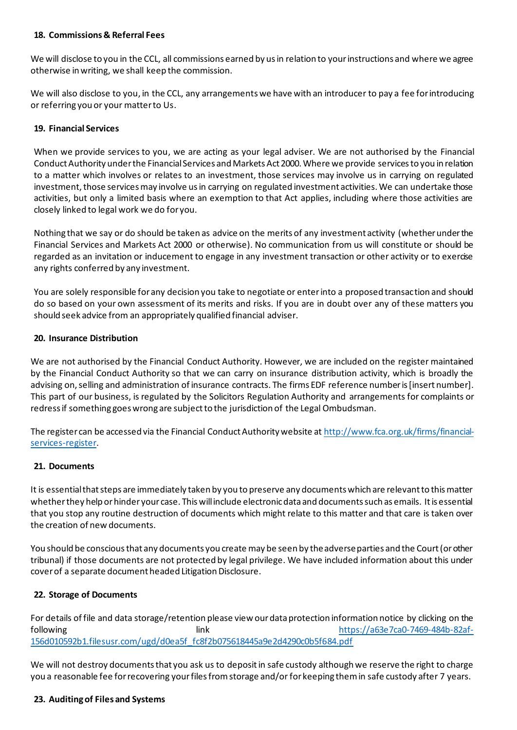### **18. Commissions & Referral Fees**

We will disclose to you in the CCL, all commissions earned by us in relation to your instructions and where we agree otherwise in writing, we shall keep the commission.

We will also disclose to you, in the CCL, any arrangements we have with an introducer to pay a fee for introducing or referring you or your matter to Us.

### **19. Financial Services**

When we provide services to you, we are acting as your legal adviser. We are not authorised by the Financial Conduct Authority under the Financial Services and Markets Act 2000. Where we provide services to you in relation to a matter which involves or relates to an investment, those services may involve us in carrying on regulated investment, those services may involve us in carrying on regulated investment activities. We can undertake those activities, but only a limited basis where an exemption to that Act applies, including where those activities are closely linked to legal work we do for you.

Nothing that we say or do should be taken as advice on the merits of any investment activity (whether under the Financial Services and Markets Act 2000 or otherwise). No communication from us will constitute or should be regarded as an invitation or inducement to engage in any investment transaction or other activity or to exercise any rights conferred by any investment.

You are solely responsible for any decision you take to negotiate or enter into a proposed transaction and should do so based on your own assessment of its merits and risks. If you are in doubt over any of these matters you should seek advice from an appropriately qualified financial adviser.

### **20. Insurance Distribution**

We are not authorised by the Financial Conduct Authority. However, we are included on the register maintained by the Financial Conduct Authority so that we can carry on insurance distribution activity, which is broadly the advising on, selling and administration of insurance contracts. The firms EDF reference number is [insert number]. This part of our business, is regulated by the Solicitors Regulation Authority and arrangements for complaints or redress if something goes wrong are subject to the jurisdiction of the Legal Ombudsman.

The register can be accessed via the Financial Conduct Authority website at [http://www.fca.org.uk/firms/financial](http://www.fca.org.uk/firms/financial-services-register)[services-register](http://www.fca.org.uk/firms/financial-services-register).

#### **21. Documents**

It is essential that steps are immediately taken by you to preserve any documents which are relevant to this matter whether they help or hinder your case. This will include electronic data and documents such as emails. It is essential that you stop any routine destruction of documents which might relate to this matter and that care is taken over the creation of new documents.

You should be conscious that any documents you create may be seen by the adverse parties and the Court (or other tribunal) if those documents are not protected by legal privilege. We have included information about this under cover of a separate document headed Litigation Disclosure.

# **22. Storage of Documents**

For details of file and data storage/retention please view our data protection information notice by clicking on the following link [https://a63e7ca0-7469-484b-82af-](https://a63e7ca0-7469-484b-82af-156d010592b1.filesusr.com/ugd/d0ea5f_fc8f2b075618445a9e2d4290c0b5f684.pdf)[156d010592b1.filesusr.com/ugd/d0ea5f\\_fc8f2b075618445a9e2d4290c0b5f684.pdf](https://a63e7ca0-7469-484b-82af-156d010592b1.filesusr.com/ugd/d0ea5f_fc8f2b075618445a9e2d4290c0b5f684.pdf)

We will not destroy documents that you ask us to deposit in safe custody although we reserve the right to charge you a reasonable fee for recovering your files from storage and/or for keeping them in safe custody after 7 years.

#### **23. Auditing of Files and Systems**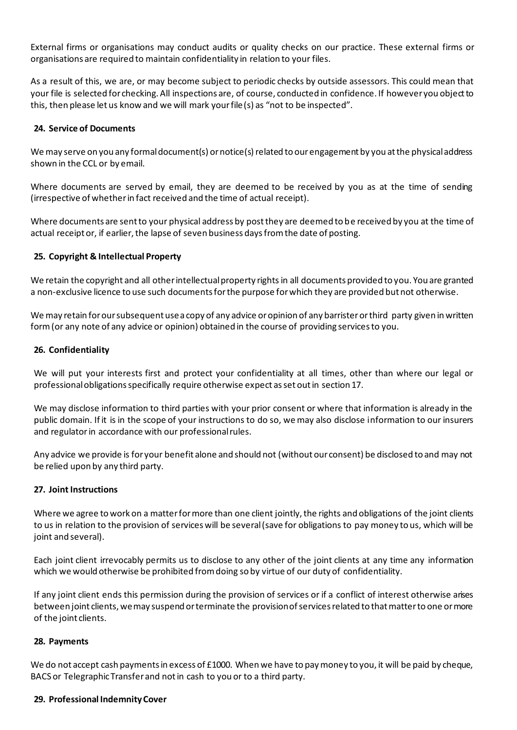External firms or organisations may conduct audits or quality checks on our practice. These external firms or organisations are required to maintain confidentiality in relation to your files.

As a result of this, we are, or may become subject to periodic checks by outside assessors. This could mean that your file is selected for checking. All inspections are, of course, conducted in confidence. If however you object to this, then please let us know and we will mark your file(s) as "not to be inspected".

### **24. Service of Documents**

We may serve on you any formal document(s) or notice(s) related to our engagement by you at the physical address shown in the CCL or by email.

Where documents are served by email, they are deemed to be received by you as at the time of sending (irrespective of whether in fact received and the time of actual receipt).

Where documents are sent to your physical address by post they are deemed to be received by you at the time of actual receipt or, if earlier, the lapse of seven business days from the date of posting.

### **25. Copyright & Intellectual Property**

We retain the copyright and all other intellectual property rights in all documents provided to you. You are granted a non-exclusive licence to use such documents for the purpose for which they are provided but not otherwise.

We may retain for our subsequent use a copy of any advice or opinion of any barrister or third party given in written form (or any note of any advice or opinion) obtained in the course of providing services to you.

#### **26. Confidentiality**

We will put your interests first and protect your confidentiality at all times, other than where our legal or professional obligations specifically require otherwise expect as set out in section 17.

We may disclose information to third parties with your prior consent or where that information is already in the public domain. If it is in the scope of your instructions to do so, we may also disclose information to our insurers and regulator in accordance with our professional rules.

Any advice we provide is for your benefit alone and should not (without our consent) be disclosed to and may not be relied upon by any third party.

#### **27. Joint Instructions**

Where we agree to work on a matter for more than one client jointly, the rights and obligations of the joint clients to us in relation to the provision of services will be several (save for obligations to pay money to us, which will be joint and several).

Each joint client irrevocably permits us to disclose to any other of the joint clients at any time any information which we would otherwise be prohibited from doing so by virtue of our duty of confidentiality.

If any joint client ends this permission during the provision of services or if a conflict of interest otherwise arises between joint clients, we may suspend or terminate the provision of services related to that matter to one or more of the joint clients.

#### **28. Payments**

We do not accept cash payments in excess of £1000. When we have to pay money to you, it will be paid by cheque, BACS or Telegraphic Transfer and not in cash to you or to a third party.

#### **29. Professional Indemnity Cover**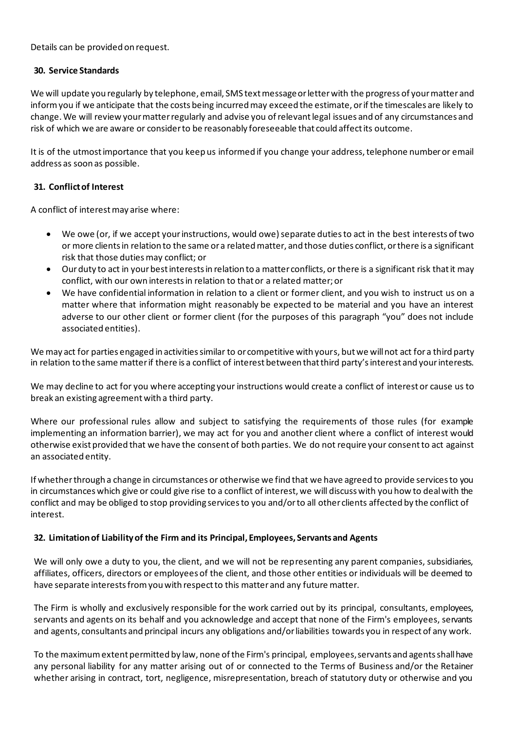Details can be provided on request.

### **30. Service Standards**

We will update you regularly by telephone, email, SMS text message or letter with the progress of your matter and inform you if we anticipate that the costs being incurred may exceed the estimate, or if the timescales are likely to change. We will review your matter regularly and advise you of relevant legal issues and of any circumstances and risk of which we are aware or consider to be reasonably foreseeable that could affect its outcome.

It is of the utmost importance that you keep us informed if you change your address, telephone number or email address as soon as possible.

# **31. Conflict of Interest**

A conflict of interest may arise where:

- We owe (or, if we accept your instructions, would owe) separate duties to act in the best interests of two or more clients in relation to the same or a related matter, and those duties conflict, or there is a significant risk that those duties may conflict; or
- Our duty to act in your best interests in relation to a matter conflicts, or there is a significant risk that it may conflict, with our own interests in relation to that or a related matter; or
- We have confidential information in relation to a client or former client, and you wish to instruct us on a matter where that information might reasonably be expected to be material and you have an interest adverse to our other client or former client (for the purposes of this paragraph "you" does not include associated entities).

We may act for parties engaged in activities similar to or competitive with yours, but we will not act for a third party in relation to the same matter if there is a conflict of interest between that third party's interest and your interests.

We may decline to act for you where accepting your instructions would create a conflict of interest or cause us to break an existing agreement with a third party.

Where our professional rules allow and subject to satisfying the requirements of those rules (for example implementing an information barrier), we may act for you and another client where a conflict of interest would otherwise exist provided that we have the consent of both parties. We do not require your consent to act against an associated entity.

If whether through a change in circumstances or otherwise we find that we have agreed to provide services to you in circumstances which give or could give rise to a conflict of interest, we will discuss with you how to deal with the conflict and may be obliged to stop providing services to you and/or to all other clients affected by the conflict of interest.

# **32. Limitation of Liability of the Firm and its Principal, Employees, Servants and Agents**

We will only owe a duty to you, the client, and we will not be representing any parent companies, subsidiaries, affiliates, officers, directors or employees of the client, and those other entities or individuals will be deemed to have separate interests from you with respect to this matter and any future matter.

The Firm is wholly and exclusively responsible for the work carried out by its principal, consultants, employees, servants and agents on its behalf and you acknowledge and accept that none of the Firm's employees, servants and agents, consultants and principal incurs any obligations and/or liabilities towards you in respect of any work.

To the maximum extent permitted by law, none of the Firm's principal, employees, servants and agents shall have any personal liability for any matter arising out of or connected to the Terms of Business and/or the Retainer whether arising in contract, tort, negligence, misrepresentation, breach of statutory duty or otherwise and you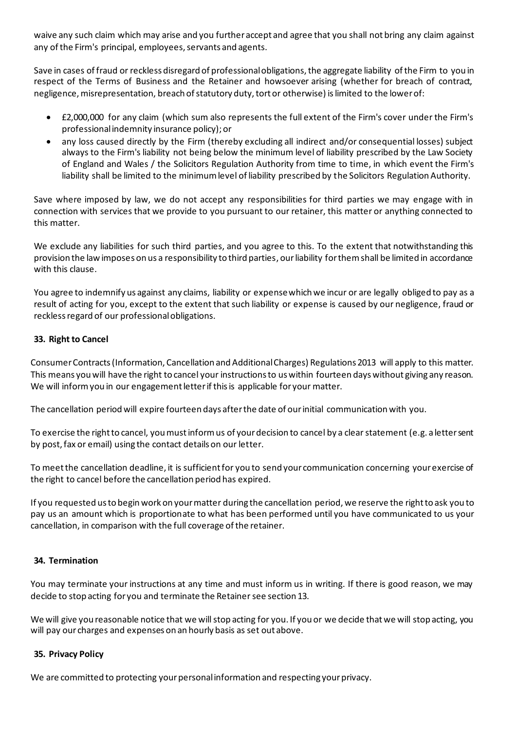waive any such claim which may arise and you further accept and agree that you shall not bring any claim against any of the Firm's principal, employees, servants and agents.

Save in cases of fraud or reckless disregard of professional obligations, the aggregate liability of the Firm to you in respect of the Terms of Business and the Retainer and howsoever arising (whether for breach of contract, negligence, misrepresentation, breach of statutory duty, tort or otherwise) islimited to the lower of:

- £2,000,000 for any claim (which sum also represents the full extent of the Firm's cover under the Firm's professional indemnity insurance policy); or
- any loss caused directly by the Firm (thereby excluding all indirect and/or consequential losses) subject always to the Firm's liability not being below the minimum level of liability prescribed by the Law Society of England and Wales / the Solicitors Regulation Authority from time to time, in which event the Firm's liability shall be limited to the minimum level of liability prescribed by the Solicitors Regulation Authority.

Save where imposed by law, we do not accept any responsibilities for third parties we may engage with in connection with services that we provide to you pursuant to our retainer, this matter or anything connected to this matter.

We exclude any liabilities for such third parties, and you agree to this. To the extent that notwithstanding this provision the law imposes on us a responsibility to third parties, our liability for them shall be limited in accordance with this clause.

You agree to indemnify us against any claims, liability or expense which we incur or are legally obliged to pay as a result of acting for you, except to the extent that such liability or expense is caused by our negligence, fraud or reckless regard of our professional obligations.

# **33. Right to Cancel**

Consumer Contracts (Information, Cancellation and Additional Charges) Regulations 2013 will apply to this matter. This means you will have the right to cancel your instructions to us within fourteen days without giving any reason. We will inform you in our engagement letter if this is applicable for your matter.

The cancellation period will expire fourteen days after the date of our initial communication with you.

To exercise the right to cancel, you must inform us of your decision to cancel by a clear statement (e.g. a letter sent by post, fax or email) using the contact details on our letter.

To meet the cancellation deadline, it is sufficient for you to send your communication concerning your exercise of the right to cancel before the cancellation period has expired.

If you requested us to begin work on your matter during the cancellation period, we reserve the right to ask you to pay us an amount which is proportionate to what has been performed until you have communicated to us your cancellation, in comparison with the full coverage of the retainer.

# **34. Termination**

You may terminate your instructions at any time and must inform us in writing. If there is good reason, we may decide to stop acting for you and terminate the Retainer see section 13.

We will give you reasonable notice that we will stop acting for you. If you or we decide that we will stop acting, you will pay our charges and expenses on an hourly basis as set out above.

# **35. Privacy Policy**

We are committed to protecting your personal information and respecting your privacy.